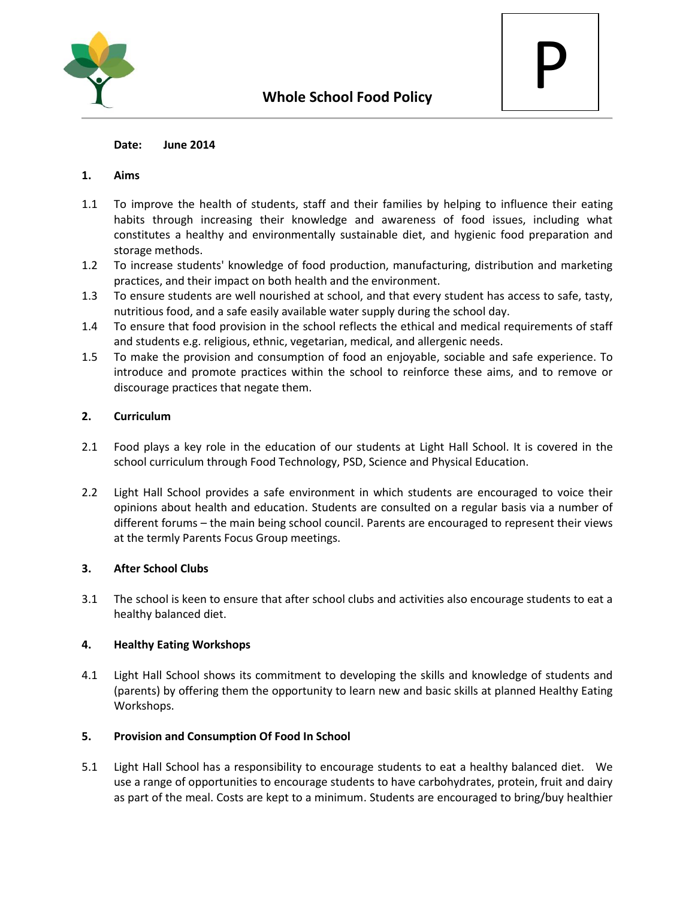



#### **Date: June 2014**

#### **1. Aims**

- 1.1 To improve the health of students, staff and their families by helping to influence their eating habits through increasing their knowledge and awareness of food issues, including what constitutes a healthy and environmentally sustainable diet, and hygienic food preparation and storage methods.
- 1.2 To increase students' knowledge of food production, manufacturing, distribution and marketing practices, and their impact on both health and the environment.
- 1.3 To ensure students are well nourished at school, and that every student has access to safe, tasty, nutritious food, and a safe easily available water supply during the school day.
- 1.4 To ensure that food provision in the school reflects the ethical and medical requirements of staff and students e.g. religious, ethnic, vegetarian, medical, and allergenic needs.
- 1.5 To make the provision and consumption of food an enjoyable, sociable and safe experience. To introduce and promote practices within the school to reinforce these aims, and to remove or discourage practices that negate them.

## **2. Curriculum**

- 2.1 Food plays a key role in the education of our students at Light Hall School. It is covered in the school curriculum through Food Technology, PSD, Science and Physical Education.
- 2.2 Light Hall School provides a safe environment in which students are encouraged to voice their opinions about health and education. Students are consulted on a regular basis via a number of different forums – the main being school council. Parents are encouraged to represent their views at the termly Parents Focus Group meetings.

## **3. After School Clubs**

3.1 The school is keen to ensure that after school clubs and activities also encourage students to eat a healthy balanced diet.

## **4. Healthy Eating Workshops**

4.1 Light Hall School shows its commitment to developing the skills and knowledge of students and (parents) by offering them the opportunity to learn new and basic skills at planned Healthy Eating Workshops.

## **5. Provision and Consumption Of Food In School**

5.1 Light Hall School has a responsibility to encourage students to eat a healthy balanced diet. We use a range of opportunities to encourage students to have carbohydrates, protein, fruit and dairy as part of the meal. Costs are kept to a minimum. Students are encouraged to bring/buy healthier